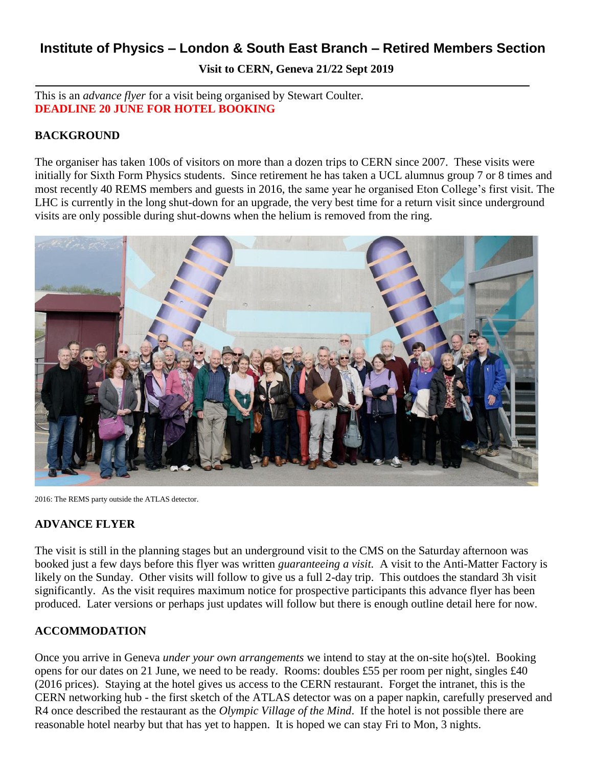# **Institute of Physics – London & South East Branch – Retired Members Section**

**Visit to CERN, Geneva 21/22 Sept 2019**

This is an *advance flyer* for a visit being organised by Stewart Coulter. **DEADLINE 20 JUNE FOR HOTEL BOOKING**

#### **BACKGROUND**

The organiser has taken 100s of visitors on more than a dozen trips to CERN since 2007. These visits were initially for Sixth Form Physics students. Since retirement he has taken a UCL alumnus group 7 or 8 times and most recently 40 REMS members and guests in 2016, the same year he organised Eton College's first visit. The LHC is currently in the long shut-down for an upgrade, the very best time for a return visit since underground visits are only possible during shut-downs when the helium is removed from the ring.



2016: The REMS party outside the ATLAS detector.

#### **ADVANCE FLYER**

The visit is still in the planning stages but an underground visit to the CMS on the Saturday afternoon was booked just a few days before this flyer was written *guaranteeing a visit.* A visit to the Anti-Matter Factory is likely on the Sunday. Other visits will follow to give us a full 2-day trip. This outdoes the standard 3h visit significantly. As the visit requires maximum notice for prospective participants this advance flyer has been produced. Later versions or perhaps just updates will follow but there is enough outline detail here for now.

# **ACCOMMODATION**

Once you arrive in Geneva *under your own arrangements* we intend to stay at the on-site ho(s)tel. Booking opens for our dates on 21 June, we need to be ready. Rooms: doubles £55 per room per night, singles £40 (2016 prices). Staying at the hotel gives us access to the CERN restaurant. Forget the intranet, this is the CERN networking hub - the first sketch of the ATLAS detector was on a paper napkin, carefully preserved and R4 once described the restaurant as the *Olympic Village of the Mind*. If the hotel is not possible there are reasonable hotel nearby but that has yet to happen. It is hoped we can stay Fri to Mon, 3 nights.